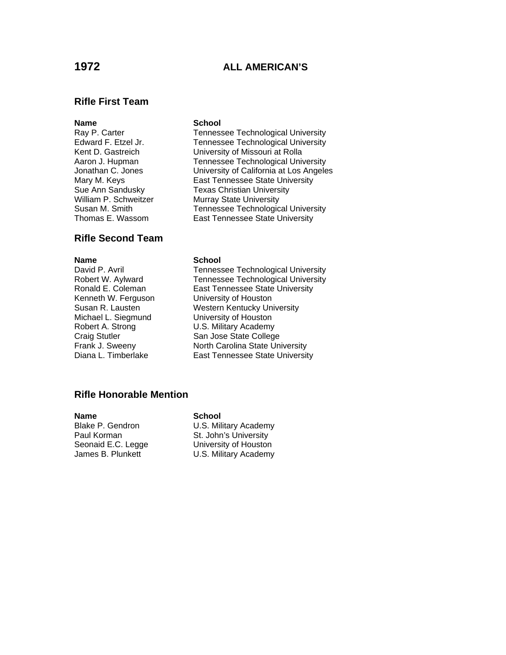# **1972 ALL AMERICAN'S**

## **Rifle First Team**

## **Rifle Second Team**

Kenneth W. Ferguson University of Houston Michael L. Siegmund University of Houston

### **Name** School

Ray P. Carter Tennessee Technological University Edward F. Etzel Jr. Tennessee Technological University<br>
Kent D. Gastreich Christersity of Missouri at Rolla University of Missouri at Rolla Aaron J. Hupman Tennessee Technological University Jonathan C. Jones University of California at Los Angeles Mary M. Keys **East Tennessee State University** Sue Ann Sandusky Texas Christian University William P. Schweitzer Murray State University Susan M. Smith Tennessee Technological University Thomas E. Wassom East Tennessee State University

### **Name** School

David P. Avril Tennessee Technological University Tennessee Technological University Ronald E. Coleman East Tennessee State University Susan R. Lausten Western Kentucky University Robert A. Strong U.S. Military Academy Craig Stutler San Jose State College<br>
Frank J. Sweeny<br>
North Carolina State Un North Carolina State University Diana L. Timberlake East Tennessee State University

## **Rifle Honorable Mention**

### **Name** School

Blake P. Gendron U.S. Military Academy Paul Korman St. John's University Seonaid E.C. Legge University of Houston James B. Plunkett U.S. Military Academy